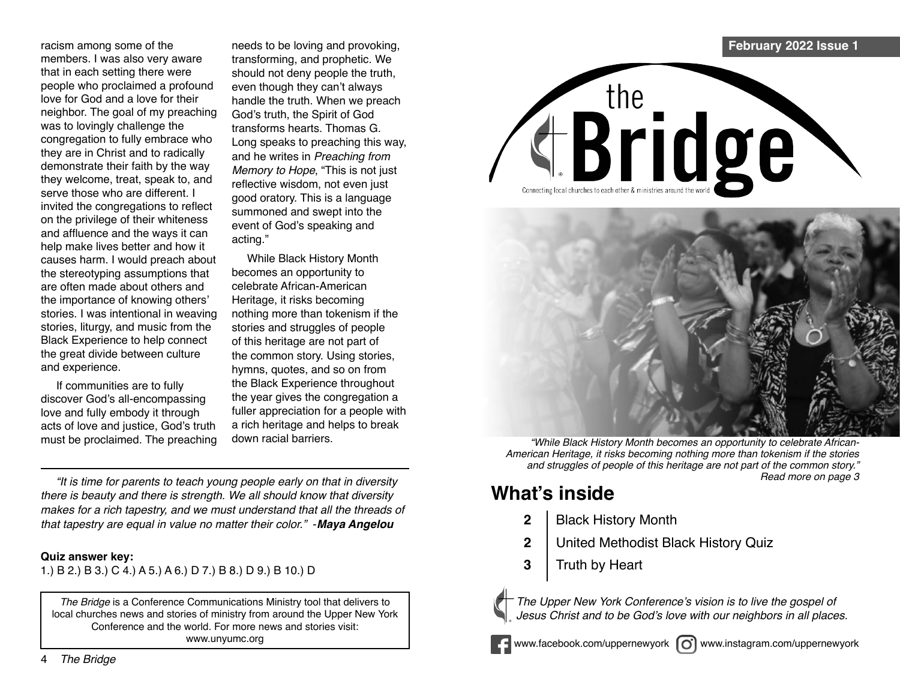racism among some of the members. I was also very aware that in each setting there were people who proclaimed a profound love for God and a love for their neighbor. The goal of my preaching was to lovingly challenge the congregation to fully embrace who they are in Christ and to radically demonstrate their faith by the way they welcome, treat, speak to, and serve those who are different. I invited the congregations to reflect on the privilege of their whiteness and affluence and the ways it can help make lives better and how it causes harm. I would preach about the stereotyping assumptions that are often made about others and the importance of knowing others' stories. I was intentional in weaving stories, liturgy, and music from the Black Experience to help connect the great divide between culture and experience.

If communities are to fully discover God's all-encompassing love and fully embody it through acts of love and justice, God's truth must be proclaimed. The preaching

needs to be loving and provoking, transforming, and prophetic. We should not deny people the truth, even though they can't always handle the truth. When we preach God's truth, the Spirit of God transforms hearts. Thomas G. Long speaks to preaching this way, and he writes in Preaching from Memory to Hope, "This is not just reflective wisdom, not even just good oratory. This is a language summoned and swept into the event of God's speaking and acting."

While Black History Month becomes an opportunity to celebrate African-American Heritage, it risks becoming nothing more than tokenism if the stories and struggles of people of this heritage are not part of the common story. Using stories, hymns, quotes, and so on from the Black Experience throughout the year gives the congregation a fuller appreciation for a people with a rich heritage and helps to break down racial barriers.

"It is time for parents to teach young people early on that in diversity there is beauty and there is strength. We all should know that diversity makes for a rich tapestry, and we must understand that all the threads of that tapestry are equal in value no matter their color." -*Maya Angelou*

### **Quiz answer key:**

1.) B 2.) B 3.) C 4.) A 5.) A 6.) D 7.) B 8.) D 9.) B 10.) D

*The Bridge* is a Conference Communications Ministry tool that delivers to local churches news and stories of ministry from around the Upper New York Conference and the world. For more news and stories visit: www.unyumc.org



# the **Bridge**



"While Black History Month becomes an opportunity to celebrate African-American Heritage, it risks becoming nothing more than tokenism if the stories and struggles of people of this heritage are not part of the common story." Read more on page 3

## **What's inside**

- **2** | Black History Month
- **2** United Methodist Black History Quiz
- **3** | Truth by Heart



The Upper New York Conference's vision is to live the gospel of Jesus Christ and to be God's love with our neighbors in all places.



www.facebook.com/uppernewyork  $\omega$  www.instagram.com/uppernewyork